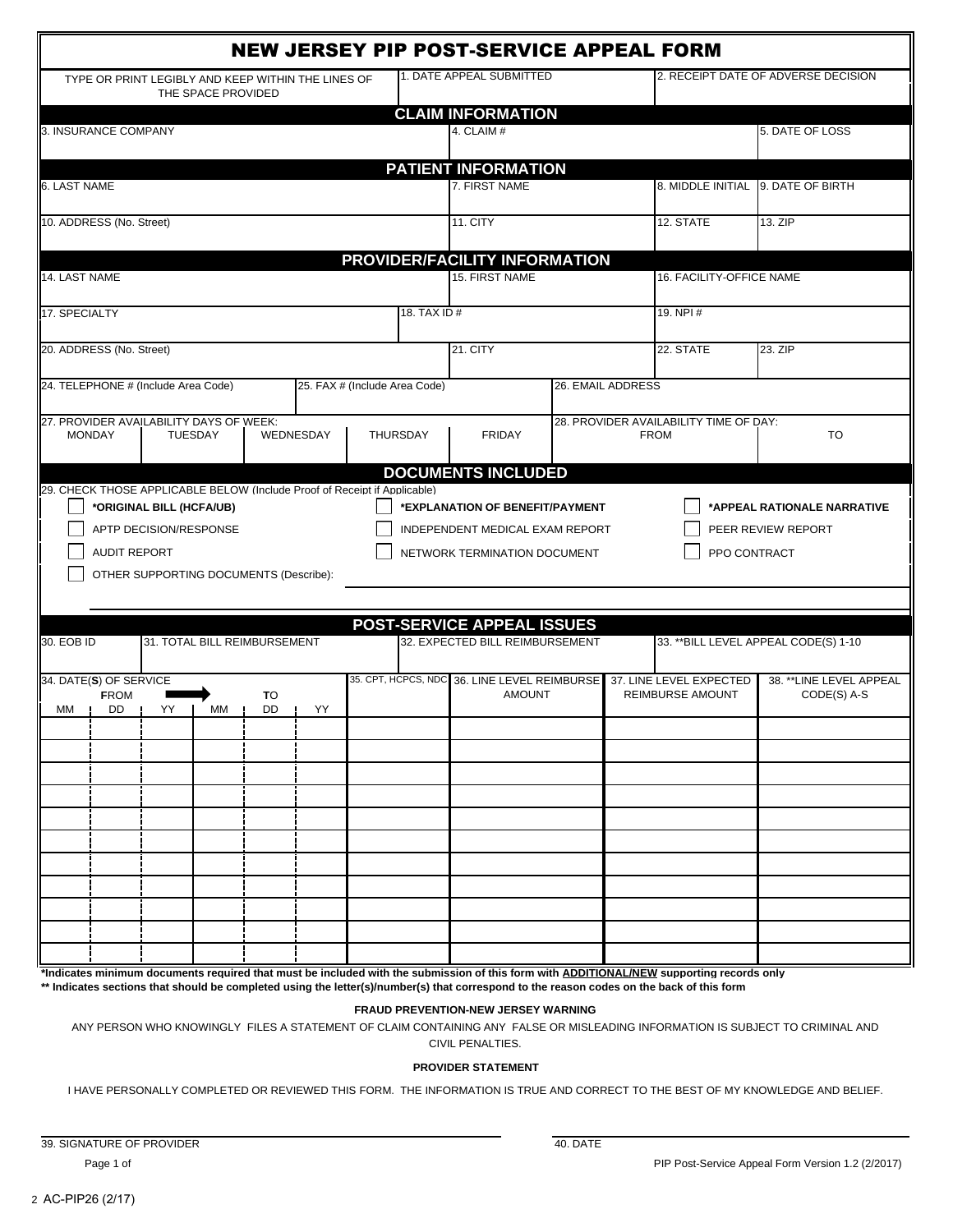| <b>NEW JERSEY PIP POST-SERVICE APPEAL FORM</b>                                                                                                                                                                                                                                                                                                                              |                               |                |                                           |             |                                             |                                         |  |  |
|-----------------------------------------------------------------------------------------------------------------------------------------------------------------------------------------------------------------------------------------------------------------------------------------------------------------------------------------------------------------------------|-------------------------------|----------------|-------------------------------------------|-------------|---------------------------------------------|-----------------------------------------|--|--|
| TYPE OR PRINT LEGIBLY AND KEEP WITHIN THE LINES OF<br>THE SPACE PROVIDED                                                                                                                                                                                                                                                                                                    |                               |                | 1. DATE APPEAL SUBMITTED                  |             |                                             | 2. RECEIPT DATE OF ADVERSE DECISION     |  |  |
|                                                                                                                                                                                                                                                                                                                                                                             |                               |                | <b>CLAIM INFORMATION</b>                  |             |                                             |                                         |  |  |
| 3. INSURANCE COMPANY                                                                                                                                                                                                                                                                                                                                                        |                               | 4. CLAIM #     |                                           |             | 5. DATE OF LOSS                             |                                         |  |  |
|                                                                                                                                                                                                                                                                                                                                                                             |                               |                | <b>PATIENT INFORMATION</b>                |             |                                             |                                         |  |  |
| 6. LAST NAME                                                                                                                                                                                                                                                                                                                                                                |                               | 7. FIRST NAME  |                                           |             | 8. MIDDLE INITIAL 9. DATE OF BIRTH          |                                         |  |  |
| 10. ADDRESS (No. Street)                                                                                                                                                                                                                                                                                                                                                    |                               | 11. CITY       |                                           | 12. STATE   | 13. ZIP                                     |                                         |  |  |
| PROVIDER/FACILITY INFORMATION                                                                                                                                                                                                                                                                                                                                               |                               |                |                                           |             |                                             |                                         |  |  |
| 14. LAST NAME                                                                                                                                                                                                                                                                                                                                                               |                               | 15. FIRST NAME |                                           |             | 16. FACILITY-OFFICE NAME                    |                                         |  |  |
| 17. SPECIALTY                                                                                                                                                                                                                                                                                                                                                               | 18. TAX ID #                  |                |                                           | 19. NPI #   |                                             |                                         |  |  |
| 20. ADDRESS (No. Street)                                                                                                                                                                                                                                                                                                                                                    |                               |                | 21. CITY                                  |             | 22. STATE                                   | 23. ZIP                                 |  |  |
| 24. TELEPHONE # (Include Area Code)                                                                                                                                                                                                                                                                                                                                         | 25. FAX # (Include Area Code) |                |                                           |             | 26. EMAIL ADDRESS                           |                                         |  |  |
| 27. PROVIDER AVAILABILITY DAYS OF WEEK:                                                                                                                                                                                                                                                                                                                                     |                               |                |                                           |             | 28. PROVIDER AVAILABILITY TIME OF DAY:      |                                         |  |  |
| <b>MONDAY</b><br><b>TUESDAY</b><br>WEDNESDAY                                                                                                                                                                                                                                                                                                                                | <b>THURSDAY</b>               |                | <b>FRIDAY</b>                             | <b>FROM</b> |                                             | TO                                      |  |  |
|                                                                                                                                                                                                                                                                                                                                                                             |                               |                | <b>DOCUMENTS INCLUDED</b>                 |             |                                             |                                         |  |  |
| 29. CHECK THOSE APPLICABLE BELOW (Include Proof of Receipt if Applicable)<br>*ORIGINAL BILL (HCFA/UB)<br>*APPEAL RATIONALE NARRATIVE<br>*EXPLANATION OF BENEFIT/PAYMENT<br>APTP DECISION/RESPONSE<br>INDEPENDENT MEDICAL EXAM REPORT<br>PEER REVIEW REPORT<br><b>AUDIT REPORT</b><br>PPO CONTRACT<br>NETWORK TERMINATION DOCUMENT<br>OTHER SUPPORTING DOCUMENTS (Describe): |                               |                |                                           |             |                                             |                                         |  |  |
|                                                                                                                                                                                                                                                                                                                                                                             |                               |                | <b>POST-SERVICE APPEAL ISSUES</b>         |             |                                             |                                         |  |  |
| 31. TOTAL BILL REIMBURSEMENT<br>30. EOB ID                                                                                                                                                                                                                                                                                                                                  |                               |                | 32. EXPECTED BILL REIMBURSEMENT           |             |                                             | 33. ** BILL LEVEL APPEAL CODE(S) 1-10   |  |  |
| 34. DATE(S) OF SERVICE<br><b>FROM</b><br>TO<br>DD<br>YY<br>МM<br>DD<br>YY<br>MМ                                                                                                                                                                                                                                                                                             | 35. CPT, HCPCS, NDC           |                | 36. LINE LEVEL REIMBURSE<br><b>AMOUNT</b> |             | 37. LINE LEVEL EXPECTED<br>REIMBURSE AMOUNT | 38. ** LINE LEVEL APPEAL<br>CODE(S) A-S |  |  |
|                                                                                                                                                                                                                                                                                                                                                                             |                               |                |                                           |             |                                             |                                         |  |  |
|                                                                                                                                                                                                                                                                                                                                                                             |                               |                |                                           |             |                                             |                                         |  |  |
|                                                                                                                                                                                                                                                                                                                                                                             |                               |                |                                           |             |                                             |                                         |  |  |
|                                                                                                                                                                                                                                                                                                                                                                             |                               |                |                                           |             |                                             |                                         |  |  |
|                                                                                                                                                                                                                                                                                                                                                                             |                               |                |                                           |             |                                             |                                         |  |  |
|                                                                                                                                                                                                                                                                                                                                                                             |                               |                |                                           |             |                                             |                                         |  |  |
|                                                                                                                                                                                                                                                                                                                                                                             |                               |                |                                           |             |                                             |                                         |  |  |
|                                                                                                                                                                                                                                                                                                                                                                             |                               |                |                                           |             |                                             |                                         |  |  |
|                                                                                                                                                                                                                                                                                                                                                                             |                               |                |                                           |             |                                             |                                         |  |  |
| *Indicates minimum documents required that must be included with the submission of this form with ADDITIONAL/NEW supporting records only<br>** Indicates sections that should be completed using the letter(s)/number(s) that correspond to the reason codes on the back of this form                                                                                       |                               |                |                                           |             |                                             |                                         |  |  |

## **FRAUD PREVENTION-NEW JERSEY WARNING**

ANY PERSON WHO KNOWINGLY FILES A STATEMENT OF CLAIM CONTAINING ANY FALSE OR MISLEADING INFORMATION IS SUBJECT TO CRIMINAL AND CIVIL PENALTIES.

## **PROVIDER STATEMENT**

I HAVE PERSONALLY COMPLETED OR REVIEWED THIS FORM. THE INFORMATION IS TRUE AND CORRECT TO THE BEST OF MY KNOWLEDGE AND BELIEF.

39. SIGNATURE OF PROVIDER 40. DATE Page 1 of